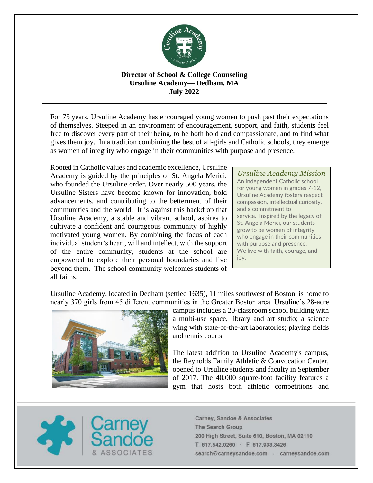

# **Director of School & College Counseling Ursuline Academy— Dedham, MA July 2022**

For 75 years, Ursuline Academy has encouraged young women to push past their expectations of themselves. Steeped in an environment of encouragement, support, and faith, students feel free to discover every part of their being, to be both bold and compassionate, and to find what gives them joy. In a tradition combining the best of all-girls and Catholic schools, they emerge as women of integrity who engage in their communities with purpose and presence.

Rooted in Catholic values and academic excellence, Ursuline Academy is guided by the principles of St. Angela Merici, who founded the Ursuline order. Over nearly 500 years, the Ursuline Sisters have become known for innovation, bold advancements, and contributing to the betterment of their communities and the world. It is against this backdrop that Ursuline Academy, a stable and vibrant school, aspires to cultivate a confident and courageous community of highly motivated young women. By combining the focus of each individual student's heart, will and intellect, with the support of the entire community, students at the school are empowered to explore their personal boundaries and live beyond them. The school community welcomes students of all faiths.

*Ursuline Academy Mission* An independent Catholic school for young women in grades 7-12, Ursuline Academy fosters respect, compassion, intellectual curiosity, and a commitment to service. Inspired by the legacy of St. Angela Merici, our students grow to be women of integrity who engage in their communities with purpose and presence. We live with faith, courage, and joy.

Ursuline Academy, located in Dedham (settled 1635), 11 miles southwest of Boston, is home to nearly 370 girls from 45 different communities in the Greater Boston area. Ursuline's 28-acre



campus includes a 20-classroom school building with a multi-use space, library and art studio; a science wing with state-of-the-art laboratories; playing fields and tennis courts.

The latest addition to Ursuline Academy's campus, the Reynolds Family Athletic & Convocation Center, opened to Ursuline students and faculty in September of 2017. The 40,000 square-foot facility features a gym that hosts both athletic competitions and

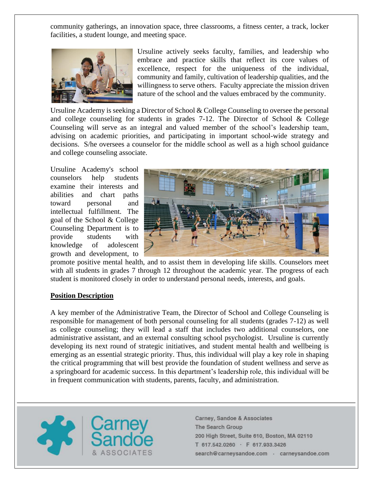community gatherings, an innovation space, three classrooms, a fitness center, a track, locker facilities, a student lounge, and meeting space.



Ursuline actively seeks faculty, families, and leadership who embrace and practice skills that reflect its core values of excellence, respect for the uniqueness of the individual, community and family, cultivation of leadership qualities, and the willingness to serve others. Faculty appreciate the mission driven nature of the school and the values embraced by the community.

Ursuline Academy is seeking a Director of School & College Counseling to oversee the personal and college counseling for students in grades 7-12. The Director of School & College Counseling will serve as an integral and valued member of the school's leadership team, advising on academic priorities, and participating in important school-wide strategy and decisions. S/he oversees a counselor for the middle school as well as a high school guidance and college counseling associate.

Ursuline Academy's school counselors help students examine their interests and abilities and chart paths toward personal and intellectual fulfillment. The goal of the School & College Counseling Department is to provide students with knowledge of adolescent growth and development, to



promote positive mental health, and to assist them in developing life skills. Counselors meet with all students in grades 7 through 12 throughout the academic year. The progress of each student is monitored closely in order to understand personal needs, interests, and goals.

## **Position Description**

A key member of the Administrative Team, the Director of School and College Counseling is responsible for management of both personal counseling for all students (grades 7-12) as well as college counseling; they will lead a staff that includes two additional counselors, one administrative assistant, and an external consulting school psychologist. Ursuline is currently developing its next round of strategic initiatives, and student mental health and wellbeing is emerging as an essential strategic priority. Thus, this individual will play a key role in shaping the critical programming that will best provide the foundation of student wellness and serve as a springboard for academic success. In this department's leadership role, this individual will be in frequent communication with students, parents, faculty, and administration.

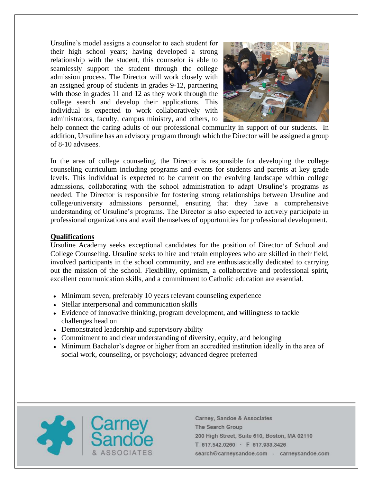Ursuline's model assigns a counselor to each student for their high school years; having developed a strong relationship with the student, this counselor is able to seamlessly support the student through the college admission process. The Director will work closely with an assigned group of students in grades 9-12, partnering with those in grades 11 and 12 as they work through the college search and develop their applications. This individual is expected to work collaboratively with administrators, faculty, campus ministry, and others, to



help connect the caring adults of our professional community in support of our students. In addition, Ursuline has an advisory program through which the Director will be assigned a group of 8-10 advisees.

In the area of college counseling, the Director is responsible for developing the college counseling curriculum including programs and events for students and parents at key grade levels. This individual is expected to be current on the evolving landscape within college admissions, collaborating with the school administration to adapt Ursuline's programs as needed. The Director is responsible for fostering strong relationships between Ursuline and college/university admissions personnel, ensuring that they have a comprehensive understanding of Ursuline's programs. The Director is also expected to actively participate in professional organizations and avail themselves of opportunities for professional development.

### **Qualifications**

Ursuline Academy seeks exceptional candidates for the position of Director of School and College Counseling. Ursuline seeks to hire and retain employees who are skilled in their field, involved participants in the school community, and are enthusiastically dedicated to carrying out the mission of the school. Flexibility, optimism, a collaborative and professional spirit, excellent communication skills, and a commitment to Catholic education are essential.

- Minimum seven, preferably 10 years relevant counseling experience
- Stellar interpersonal and communication skills
- Evidence of innovative thinking, program development, and willingness to tackle challenges head on
- Demonstrated leadership and supervisory ability
- Commitment to and clear understanding of diversity, equity, and belonging
- Minimum Bachelor's degree or higher from an accredited institution ideally in the area of social work, counseling, or psychology; advanced degree preferred

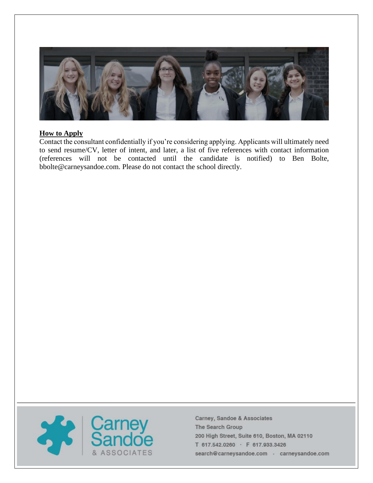

### **How to Apply**

Contact the consultant confidentially if you're considering applying. Applicants will ultimately need to send resume/CV, letter of intent, and later, a list of five references with contact information (references will not be contacted until the candidate is notified) to Ben Bolte, bbolte@carneysandoe.com. Please do not contact the school directly.